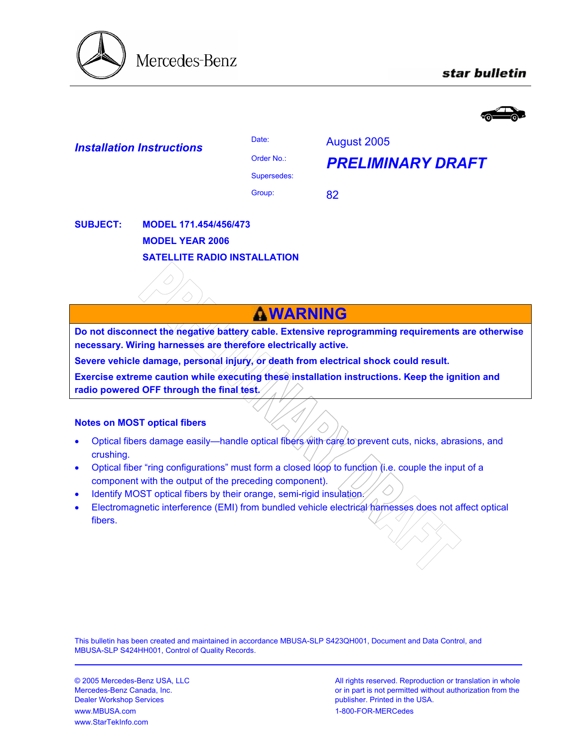

# star bulletin



| <b>Installation Instructions</b> | Date:                        | August 2005              |
|----------------------------------|------------------------------|--------------------------|
|                                  | Order No.:                   | <b>PRELIMINARY DRAFT</b> |
|                                  | Supersedes:                  |                          |
|                                  | Group:                       | 82                       |
| <b>SUBJECT:</b>                  | <b>MODEL 171.454/456/473</b> |                          |

**MODEL YEAR 2006 SATELLITE RADIO INSTALLATION**

# **WARNING**

**Do not disconnect the negative battery cable. Extensive reprogramming requirements are otherwise necessary. Wiring harnesses are therefore electrically active.** 

Severe vehicle damage, personal injury, or death from electrical shock could result.

**Exercise extreme caution while executing these installation instructions. Keep the ignition and radio powered OFF through the final test.**

#### **Notes on MOST optical fibers**

- Optical fibers damage easily—handle optical fibers with care to prevent cuts, nicks, abrasions, and crushing.
- Optical fiber "ring configurations" must form a closed loop to function (i.e. couple the input of a component with the output of the preceding component).
- Identify MOST optical fibers by their orange, semi-rigid insulation.
- Electromagnetic interference (EMI) from bundled vehicle electrical harnesses does not affect optical fibers.

This bulletin has been created and maintained in accordance MBUSA-SLP S423QH001, Document and Data Control, and MBUSA-SLP S424HH001, Control of Quality Records.

Dealer Workshop Services **publisher.** Printed in the USA. www.MBUSA.com 1-800-FOR-MERCedes www.StarTekInfo.com

© 2005 Mercedes-Benz USA, LLC **All rights reserved. Reproduction or translation in whole** Mercedes-Benz Canada, Inc. **or in part is not permitted without authorization from the** or in part is not permitted without authorization from the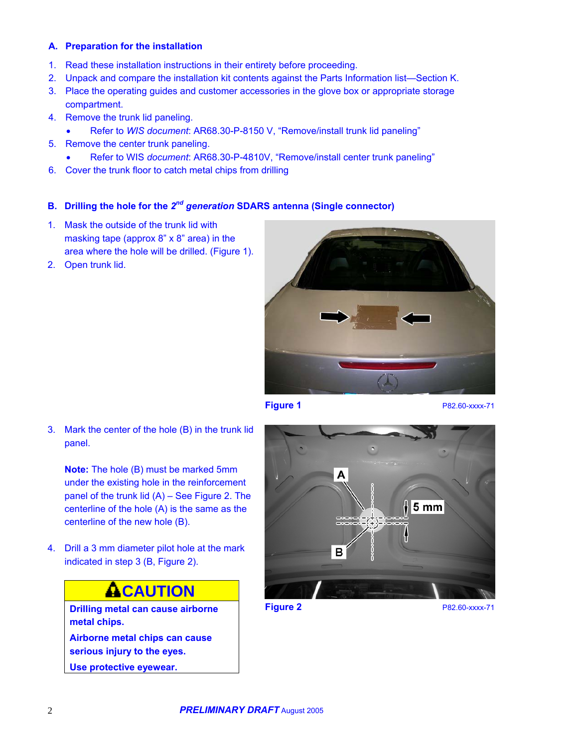#### **A. Preparation for the installation**

- 1. Read these installation instructions in their entirety before proceeding.
- 2. Unpack and compare the installation kit contents against the Parts Information list—Section K.
- 3. Place the operating guides and customer accessories in the glove box or appropriate storage compartment.
- 4. Remove the trunk lid paneling.
	- Refer to *WIS document*: AR68.30-P-8150 V, "Remove/install trunk lid paneling"
- 5. Remove the center trunk paneling.
	- Refer to WIS *document*: AR68.30-P-4810V, "Remove/install center trunk paneling"
- 6. Cover the trunk floor to catch metal chips from drilling

### **B. Drilling the hole for the** *2nd generation* **SDARS antenna (Single connector)**

- 1. Mask the outside of the trunk lid with masking tape (approx 8" x 8" area) in the area where the hole will be drilled. (Figure 1).
- 2. Open trunk lid.



**Figure 1 P82.60-xxxx-71** 

3. Mark the center of the hole (B) in the trunk lid panel.

**Note:** The hole (B) must be marked 5mm under the existing hole in the reinforcement panel of the trunk lid (A) – See Figure 2. The centerline of the hole (A) is the same as the centerline of the new hole (B).

4. Drill a 3 mm diameter pilot hole at the mark indicated in step 3 (B, Figure 2).

# **ACAUTION**

**Drilling metal can cause airborne metal chips.** 

**Airborne metal chips can cause serious injury to the eyes.** 

**Use protective eyewear.** 



**Figure 2** P82.60-xxxx-71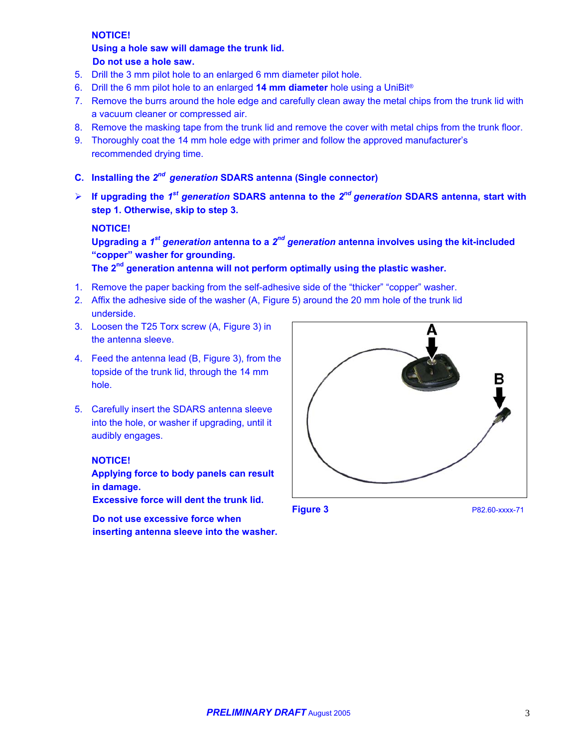#### **NOTICE!**

#### **Using a hole saw will damage the trunk lid. Do not use a hole saw.**

- 5. Drill the 3 mm pilot hole to an enlarged 6 mm diameter pilot hole.
- 6. Drill the 6 mm pilot hole to an enlarged **14 mm diameter** hole using a UniBit®
- 7. Remove the burrs around the hole edge and carefully clean away the metal chips from the trunk lid with a vacuum cleaner or compressed air.
- 8. Remove the masking tape from the trunk lid and remove the cover with metal chips from the trunk floor.
- 9. Thoroughly coat the 14 mm hole edge with primer and follow the approved manufacturer's recommended drying time.
- **C. Installing the** *2nd generation* **SDARS antenna (Single connector)**
- $\blacktriangleright$ **If upgrading the** *1st generation* **SDARS antenna to the** *2nd generation* **SDARS antenna, start with step 1. Otherwise, skip to step 3.**

#### **NOTICE!**

**Upgrading a** *1st generation* **antenna to a** *2nd generation* **antenna involves using the kit-included "copper" washer for grounding.** 

**The 2nd generation antenna will not perform optimally using the plastic washer.** 

- 1. Remove the paper backing from the self-adhesive side of the "thicker" "copper" washer.
- 2. Affix the adhesive side of the washer (A, Figure 5) around the 20 mm hole of the trunk lid underside.
- 3. Loosen the T25 Torx screw (A, Figure 3) in the antenna sleeve.
- 4. Feed the antenna lead (B, Figure 3), from the topside of the trunk lid, through the 14 mm hole.
- 5. Carefully insert the SDARS antenna sleeve into the hole, or washer if upgrading, until it audibly engages.

#### **NOTICE!**

**Applying force to body panels can result in damage.** 

**Excessive force will dent the trunk lid.** 

**Do not use excessive force when inserting antenna sleeve into the washer.**



**Figure 3** P82.60-xxxx-71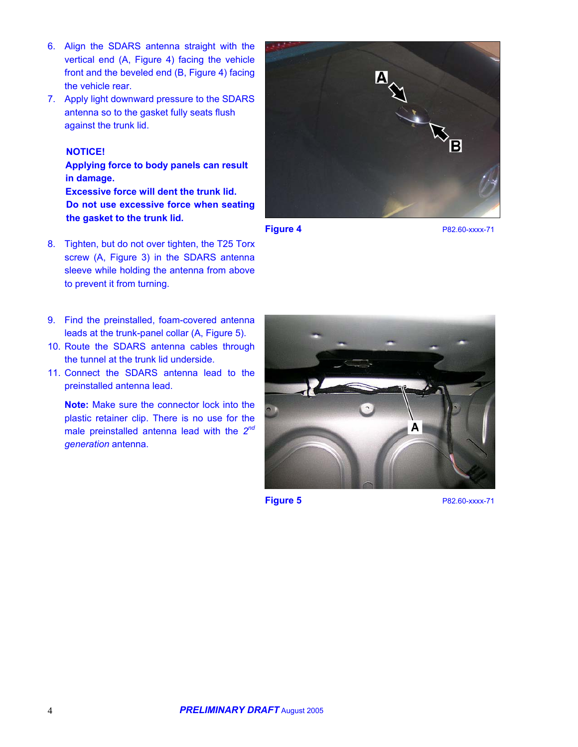- 6. Align the SDARS antenna straight with the vertical end (A, Figure 4) facing the vehicle front and the beveled end (B, Figure 4) facing the vehicle rear.
- 7. Apply light downward pressure to the SDARS antenna so to the gasket fully seats flush against the trunk lid.

# **NOTICE!**

**Applying force to body panels can result in damage. Excessive force will dent the trunk lid. Do not use excessive force when seating the gasket to the trunk lid.** 

8. Tighten, but do not over tighten, the T25 Torx screw (A, Figure 3) in the SDARS antenna sleeve while holding the antenna from above to prevent it from turning.



**Figure 4** P82.60-xxxx-71

- 9. Find the preinstalled, foam-covered antenna leads at the trunk-panel collar (A, Figure 5).
- 10. Route the SDARS antenna cables through the tunnel at the trunk lid underside.
- 11. Connect the SDARS antenna lead to the preinstalled antenna lead.

**Note:** Make sure the connector lock into the plastic retainer clip. There is no use for the male preinstalled antenna lead with the *2nd generation* antenna.



**Figure 5 P82.60-xxxx-71**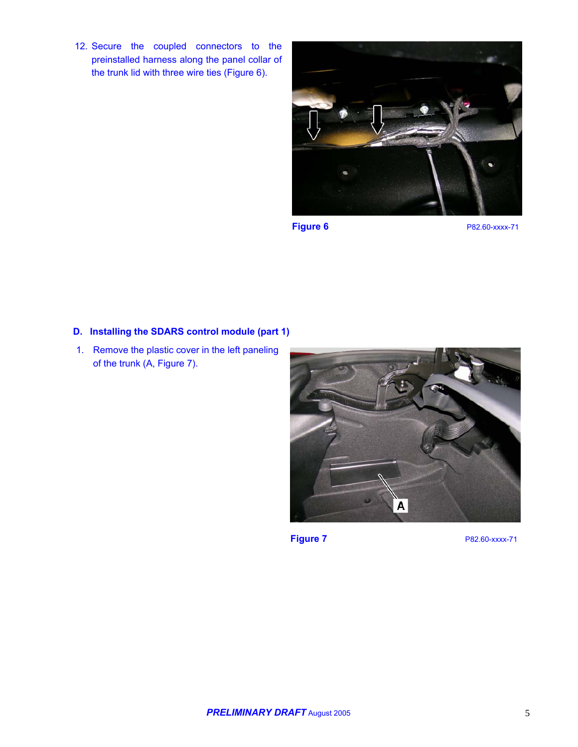12. Secure the coupled connectors to the preinstalled harness along the panel collar of the trunk lid with three wire ties (Figure 6).



**Figure 6 P82.60-xxxx-71** 

#### **D. Installing the SDARS control module (part 1)**

1. Remove the plastic cover in the left paneling of the trunk (A, Figure 7).



**Figure 7** P82.60-xxxx-71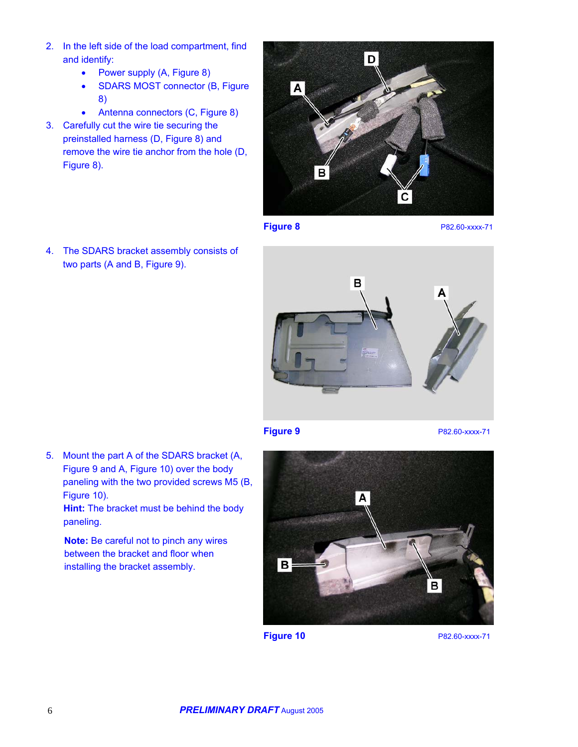- 2. In the left side of the load compartment, find and identify:
	- Power supply (A, Figure 8)
	- SDARS MOST connector (B, Figure 8)
	- Antenna connectors (C, Figure 8)
- 3. Carefully cut the wire tie securing the preinstalled harness (D, Figure 8) and remove the wire tie anchor from the hole (D, Figure 8).



**Figure 8** P82.60-xxxx-71

4. The SDARS bracket assembly consists of two parts (A and B, Figure 9).



**Figure 9 P82.60-xxxx-71** 

5. Mount the part A of the SDARS bracket (A, Figure 9 and A, Figure 10) over the body paneling with the two provided screws M5 (B, Figure 10).

**Hint:** The bracket must be behind the body paneling.

**Note:** Be careful not to pinch any wires between the bracket and floor when installing the bracket assembly.



**Figure 10** P82.60-xxxx-71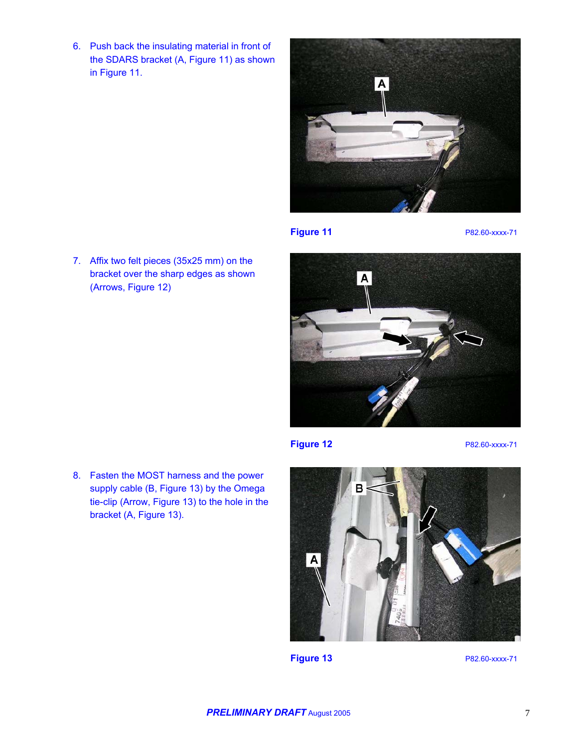6. Push back the insulating material in front of the SDARS bracket (A, Figure 11) as shown in Figure 11.

7. Affix two felt pieces (35x25 mm) on the bracket over the sharp edges as shown

(Arrows, Figure 12)



**Figure 11** P82.60-xxxx-71

A

**Figure 12** P82.60-xxxx-71

8. Fasten the MOST harness and the power supply cable (B, Figure 13) by the Omega tie-clip (Arrow, Figure 13) to the hole in the bracket (A, Figure 13).



**Figure 13** P82.60-xxxx-71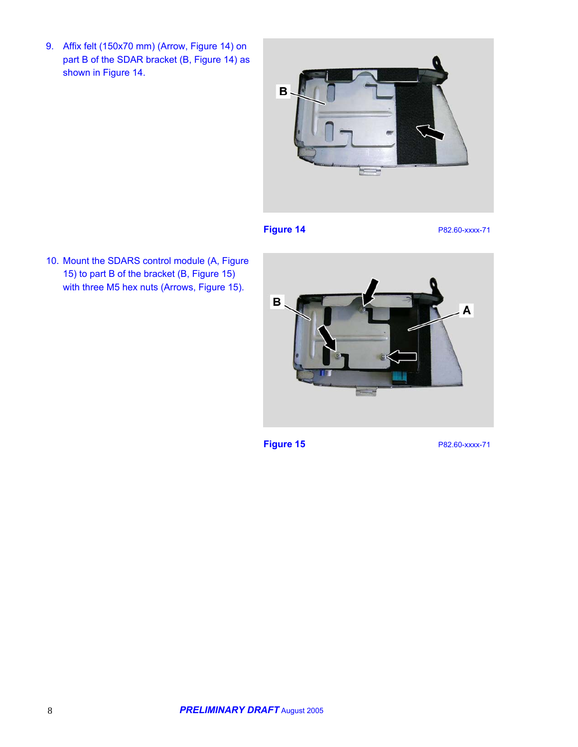9. Affix felt (150x70 mm) (Arrow, Figure 14) on part B of the SDAR bracket (B, Figure 14) as shown in Figure 14.



**Figure 14** P82.60-xxxx-71

10. Mount the SDARS control module (A, Figure 15) to part B of the bracket (B, Figure 15) with three M5 hex nuts (Arrows, Figure 15).



**Figure 15** P82.60-xxxx-71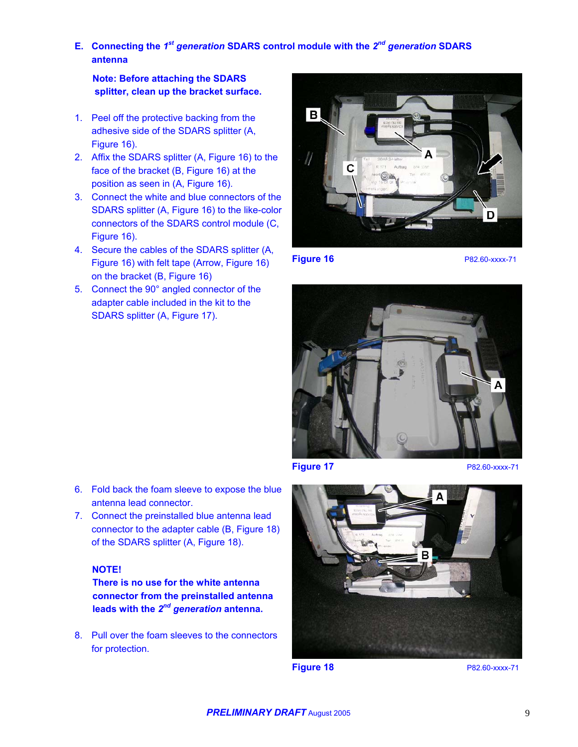**E. Connecting the** *1st generation* **SDARS control module with the** *2nd generation* **SDARS antenna** 

**Note: Before attaching the SDARS splitter, clean up the bracket surface.** 

- 1. Peel off the protective backing from the adhesive side of the SDARS splitter (A, Figure 16).
- 2. Affix the SDARS splitter (A, Figure 16) to the face of the bracket (B, Figure 16) at the position as seen in (A, Figure 16).
- 3. Connect the white and blue connectors of the SDARS splitter (A, Figure 16) to the like-color connectors of the SDARS control module (C, Figure 16).
- 4. Secure the cables of the SDARS splitter (A, Figure 16) with felt tape (Arrow, Figure 16) on the bracket (B, Figure 16)
- 5. Connect the 90° angled connector of the adapter cable included in the kit to the SDARS splitter (A, Figure 17).



**Figure 16** P82.60-xxxx-71



**Figure 17** P82.60-xxxx-71



**connector from the preinstalled antenna leads with the** *2nd generation* **antenna.**

antenna lead connector.

**NOTE!** 

8. Pull over the foam sleeves to the connectors for protection.

**Figure 18** P82.60-xxxx-71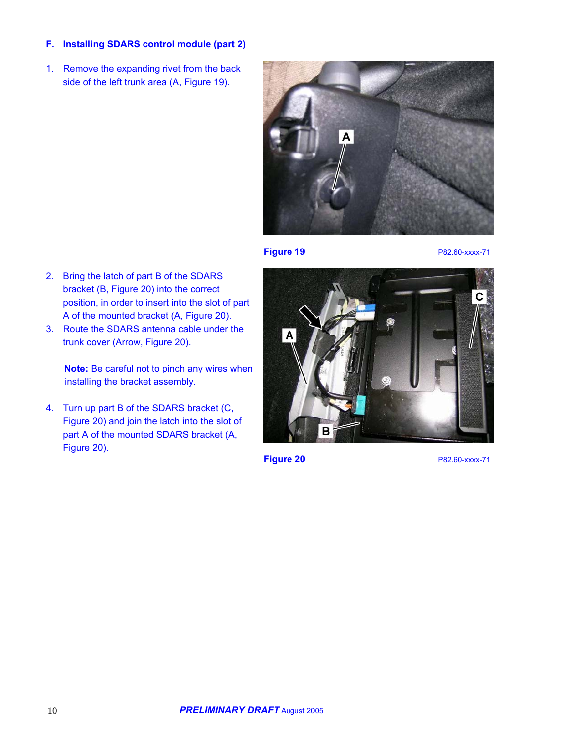### **F. Installing SDARS control module (part 2)**

1. Remove the expanding rivet from the back side of the left trunk area (A, Figure 19).



**Figure 19 P82.60-xxxx-71** 

- 2. Bring the latch of part B of the SDARS bracket (B, Figure 20) into the correct position, in order to insert into the slot of part A of the mounted bracket (A, Figure 20).
- 3. Route the SDARS antenna cable under the trunk cover (Arrow, Figure 20).

**Note:** Be careful not to pinch any wires when installing the bracket assembly.

4. Turn up part B of the SDARS bracket (C, Figure 20) and join the latch into the slot of part A of the mounted SDARS bracket (A, Figure 20).



**Figure 20** P82.60-xxxx-71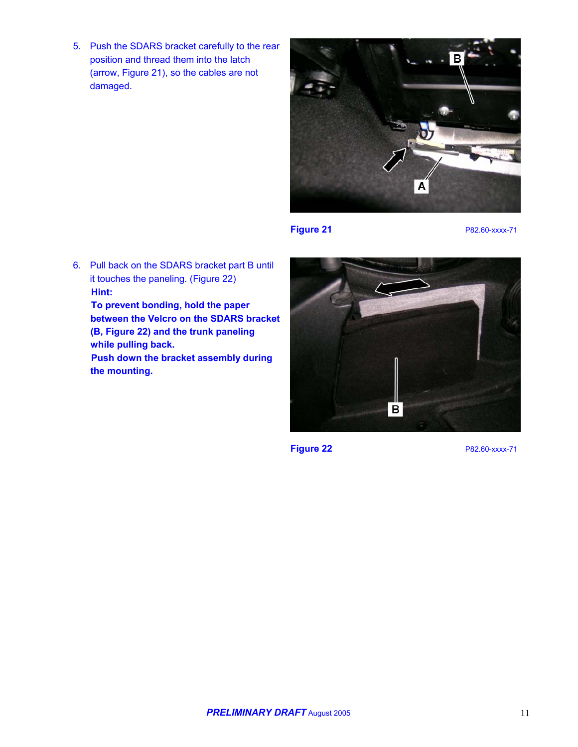5. Push the SDARS bracket carefully to the rear position and thread them into the latch (arrow, Figure 21), so the cables are not damaged.



**Figure 21** P82.60-xxxx-71

6. Pull back on the SDARS bracket part B until it touches the paneling. (Figure 22) **Hint: To prevent bonding, hold the paper** 

**between the Velcro on the SDARS bracket (B, Figure 22) and the trunk paneling while pulling back. Push down the bracket assembly during the mounting.** 



**Figure 22** P82.60-xxxx-71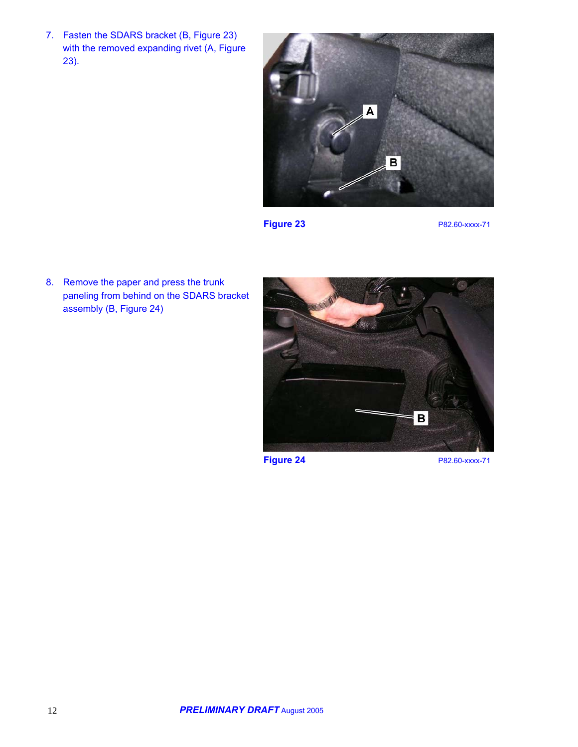7. Fasten the SDARS bracket (B, Figure 23) with the removed expanding rivet (A, Figure 23).



**Figure 23** P82.60-xxxx-71

8. Remove the paper and press the trunk paneling from behind on the SDARS bracket assembly (B, Figure 24)

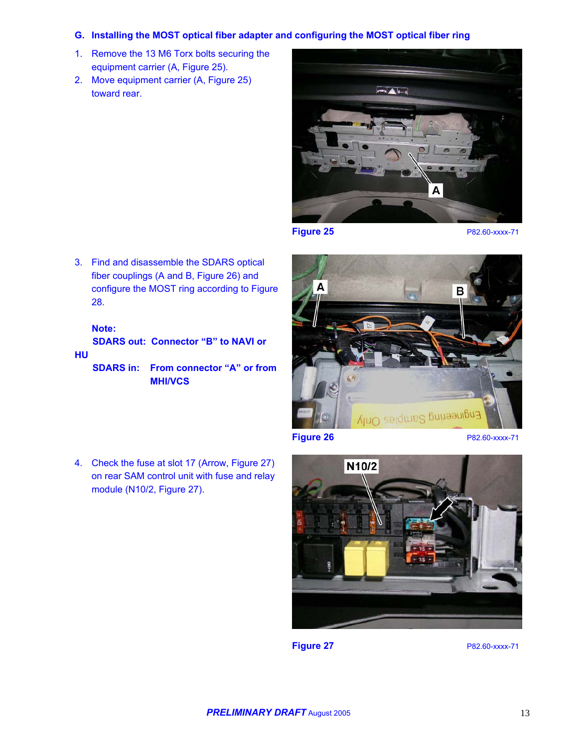#### **G. Installing the MOST optical fiber adapter and configuring the MOST optical fiber ring**

- 1. Remove the 13 M6 Torx bolts securing the equipment carrier (A, Figure 25).
- 2. Move equipment carrier (A, Figure 25) toward rear.



**Figure 25** P82.60-xxxx-71

3. Find and disassemble the SDARS optical fiber couplings (A and B, Figure 26) and configure the MOST ring according to Figure 28.

### **Note:**

**SDARS out: Connector "B" to NAVI or HU** 

- **SDARS in: From connector "A" or from MHI/VCS**
- 4. Check the fuse at slot 17 (Arrow, Figure 27) on rear SAM control unit with fuse and relay module (N10/2, Figure 27).





**Figure 27** P82.60-xxxx-71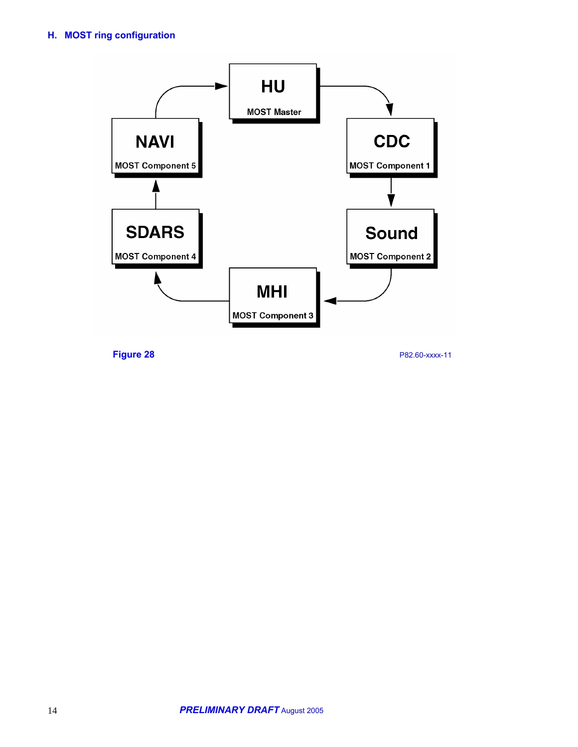# **H. MOST ring configuration**



**Figure 28** P82.60-xxxx-11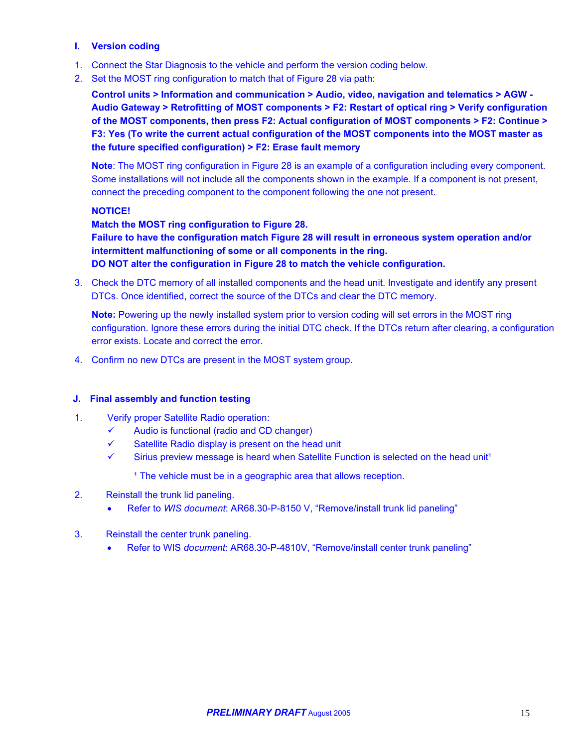### **I. Version coding**

- 1. Connect the Star Diagnosis to the vehicle and perform the version coding below.
- 2. Set the MOST ring configuration to match that of Figure 28 via path:

**Control units > Information and communication > Audio, video, navigation and telematics > AGW - Audio Gateway > Retrofitting of MOST components > F2: Restart of optical ring > Verify configuration of the MOST components, then press F2: Actual configuration of MOST components > F2: Continue > F3: Yes (To write the current actual configuration of the MOST components into the MOST master as the future specified configuration) > F2: Erase fault memory**

**Note**: The MOST ring configuration in Figure 28 is an example of a configuration including every component. Some installations will not include all the components shown in the example. If a component is not present, connect the preceding component to the component following the one not present.

#### **NOTICE!**

**Match the MOST ring configuration to Figure 28.** 

**Failure to have the configuration match Figure 28 will result in erroneous system operation and/or intermittent malfunctioning of some or all components in the ring. DO NOT alter the configuration in Figure 28 to match the vehicle configuration.** 

3. Check the DTC memory of all installed components and the head unit. Investigate and identify any present DTCs. Once identified, correct the source of the DTCs and clear the DTC memory.

**Note:** Powering up the newly installed system prior to version coding will set errors in the MOST ring configuration. Ignore these errors during the initial DTC check. If the DTCs return after clearing, a configuration error exists. Locate and correct the error.

4. Confirm no new DTCs are present in the MOST system group.

#### **J. Final assembly and function testing**

- 1. Verify proper Satellite Radio operation:
	- $\checkmark$  Audio is functional (radio and CD changer)
	- $\checkmark$  Satellite Radio display is present on the head unit
	- $\checkmark$  Sirius preview message is heard when Satellite Function is selected on the head unit<sup>1</sup>

<sup>1</sup> The vehicle must be in a geographic area that allows reception.

#### 2. Reinstall the trunk lid paneling.

- Refer to *WIS document*: AR68.30-P-8150 V, "Remove/install trunk lid paneling"
- 3. Reinstall the center trunk paneling.
	- Refer to WIS *document*: AR68.30-P-4810V, "Remove/install center trunk paneling"